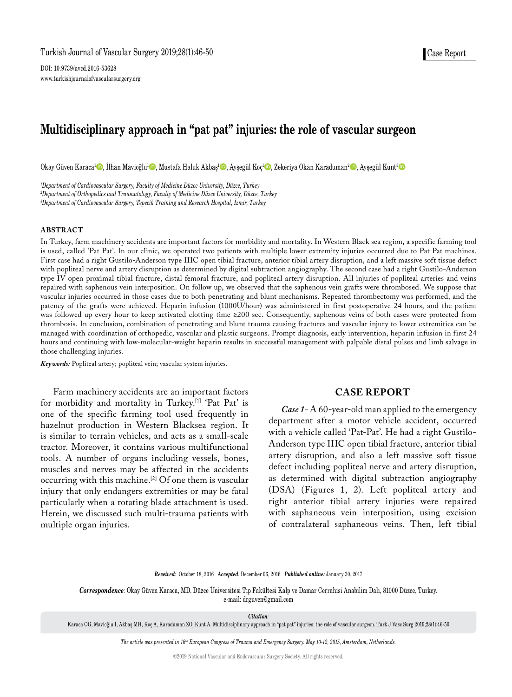DOI: 10.9739/uvcd.2016-53628 www.turkishjournalofvascularsurgery.org

# **Multidisciplinary approach in "pat pat" injuries: the role of vascular surgeon**

Okay Güven Karaca<sup>1</sup>©, İlhan Mavioğlu<sup>1</sup>©, Mustafa Haluk Akbaş<sup>ı</sup>©, Ayşegül Koç<sup>ı</sup>©, Zekeriya Okan Karaduman<sup>2</sup>©, Ayşegül Kunt<sup>3</sup>©

*1 Department of Cardiovascular Surgery, Faculty of Medicine Düzce University, Düzce, Turkey 2 Department of Orthopedics and Traumatology, Faculty of Medicine Düzce University, Düzce, Turkey 3 Department of Cardiovascular Surgery, Tepecik Training and Research Hospital, İzmir, Turkey*

#### **ABSTRACT**

In Turkey, farm machinery accidents are important factors for morbidity and mortality. In Western Black sea region, a specific farming tool is used, called 'Pat Pat'. In our clinic, we operated two patients with multiple lower extremity injuries occurred due to Pat Pat machines. First case had a right Gustilo-Anderson type IIIC open tibial fracture, anterior tibial artery disruption, and a left massive soft tissue defect with popliteal nerve and artery disruption as determined by digital subtraction angiography. The second case had a right Gustilo-Anderson type IV open proximal tibial fracture, distal femoral fracture, and popliteal artery disruption. All injuries of popliteal arteries and veins repaired with saphenous vein interposition. On follow up, we observed that the saphenous vein grafts were thrombosed. We suppose that vascular injuries occurred in those cases due to both penetrating and blunt mechanisms. Repeated thrombectomy was performed, and the patency of the grafts were achieved. Heparin infusion (1000U/hour) was administered in first postoperative 24 hours, and the patient was followed up every hour to keep activated clotting time ≥200 sec. Consequently, saphenous veins of both cases were protected from thrombosis. In conclusion, combination of penetrating and blunt trauma causing fractures and vascular injury to lower extremities can be managed with coordination of orthopedic, vascular and plastic surgeons. Prompt diagnosis, early intervention, heparin infusion in first 24 hours and continuing with low-molecular-weight heparin results in successful management with palpable distal pulses and limb salvage in those challenging injuries.

*Keywords:* Popliteal artery; popliteal vein; vascular system injuries.

Farm machinery accidents are an important factors for morbidity and mortality in Turkey.<sup>[1]</sup> 'Pat Pat' is one of the specific farming tool used frequently in hazelnut production in Western Blacksea region. It is similar to terrain vehicles, and acts as a small-scale tractor. Moreover, it contains various multifunctional tools. A number of organs including vessels, bones, muscles and nerves may be affected in the accidents occurring with this machine.[2] Of one them is vascular injury that only endangers extremities or may be fatal particularly when a rotating blade attachment is used. Herein, we discussed such multi-trauma patients with multiple organ injuries.

# **CASE REPORT**

*Case 1-* A 60-year-old man applied to the emergency department after a motor vehicle accident, occurred with a vehicle called 'Pat-Pat'. He had a right Gustilo-Anderson type IIIC open tibial fracture, anterior tibial artery disruption, and also a left massive soft tissue defect including popliteal nerve and artery disruption, as determined with digital subtraction angiography (DSA) (Figures 1, 2). Left popliteal artery and right anterior tibial artery injuries were repaired with saphaneous vein interposition, using excision of contralateral saphaneous veins. Then, left tibial

*Received:* October 18, 2016 *Accepted:* December 06, 2016 *Published online:* January 30, 2017

*Correspondence:* Okay Güven Karaca, MD. Düzce Üniversitesi Tıp Fakültesi Kalp ve Damar Cerrahisi Anabilim Dalı, 81000 Düzce, Turkey. e-mail: drguven@gmail.com

*Citation:*

Karaca OG, Mavioğlu İ, Akbaş MH, Koç A, Karaduman ZO, Kunt A. Multidisciplinary approach in "pat pat" injuries: the role of vascular surgeon. Turk J Vasc Surg 2019;28(1):46-50

*The article was presented in 16th European Congress of Trauma and Emergency Surgery. May 10-12, 2015, Amsterdam, Netherlands.*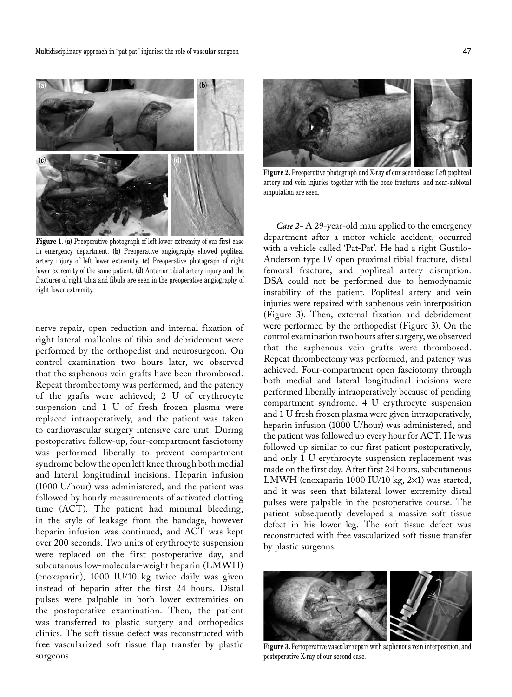

**Figure 1. (a)** Preoperative photograph of left lower extremity of our first case in emergency department. **(b)** Preoperative angiography showed popliteal artery injury of left lower extremity. **(c)** Preoperative photograph of right lower extremity of the same patient. **(d)** Anterior tibial artery injury and the fractures of right tibia and fibula are seen in the preoperative angiography of right lower extremity.

nerve repair, open reduction and internal fixation of right lateral malleolus of tibia and debridement were performed by the orthopedist and neurosurgeon. On control examination two hours later, we observed that the saphenous vein grafts have been thrombosed. Repeat thrombectomy was performed, and the patency of the grafts were achieved; 2 U of erythrocyte suspension and 1 U of fresh frozen plasma were replaced intraoperatively, and the patient was taken to cardiovascular surgery intensive care unit. During postoperative follow-up, four-compartment fasciotomy was performed liberally to prevent compartment syndrome below the open left knee through both medial and lateral longitudinal incisions. Heparin infusion (1000 U/hour) was administered, and the patient was followed by hourly measurements of activated clotting time (ACT). The patient had minimal bleeding, in the style of leakage from the bandage, however heparin infusion was continued, and ACT was kept over 200 seconds. Two units of erythrocyte suspension were replaced on the first postoperative day, and subcutanous low-molecular-weight heparin (LMWH) (enoxaparin), 1000 IU/10 kg twice daily was given instead of heparin after the first 24 hours. Distal pulses were palpable in both lower extremities on the postoperative examination. Then, the patient was transferred to plastic surgery and orthopedics clinics. The soft tissue defect was reconstructed with free vascularized soft tissue flap transfer by plastic surgeons.



**Figure 2.** Preoperative photograph and X-ray of our second case: Left popliteal artery and vein injuries together with the bone fractures, and near-subtotal amputation are seen.

*Case 2-* A 29-year-old man applied to the emergency department after a motor vehicle accident, occurred with a vehicle called 'Pat-Pat'. He had a right Gustilo-Anderson type IV open proximal tibial fracture, distal femoral fracture, and popliteal artery disruption. DSA could not be performed due to hemodynamic instability of the patient. Popliteal artery and vein injuries were repaired with saphenous vein interposition (Figure 3). Then, external fixation and debridement were performed by the orthopedist (Figure 3). On the control examination two hours after surgery, we observed that the saphenous vein grafts were thrombosed. Repeat thrombectomy was performed, and patency was achieved. Four-compartment open fasciotomy through both medial and lateral longitudinal incisions were performed liberally intraoperatively because of pending compartment syndrome. 4 U erythrocyte suspension and 1 U fresh frozen plasma were given intraoperatively, heparin infusion (1000 U/hour) was administered, and the patient was followed up every hour for ACT. He was followed up similar to our first patient postoperatively, and only 1 U erythrocyte suspension replacement was made on the first day. After first 24 hours, subcutaneous LMWH (enoxaparin 1000 IU/10 kg,  $2\times1$ ) was started, and it was seen that bilateral lower extremity distal pulses were palpable in the postoperative course. The patient subsequently developed a massive soft tissue defect in his lower leg. The soft tissue defect was reconstructed with free vascularized soft tissue transfer by plastic surgeons.



**Figure 3.** Perioperative vascular repair with saphenous vein interposition, and postoperative X-ray of our second case.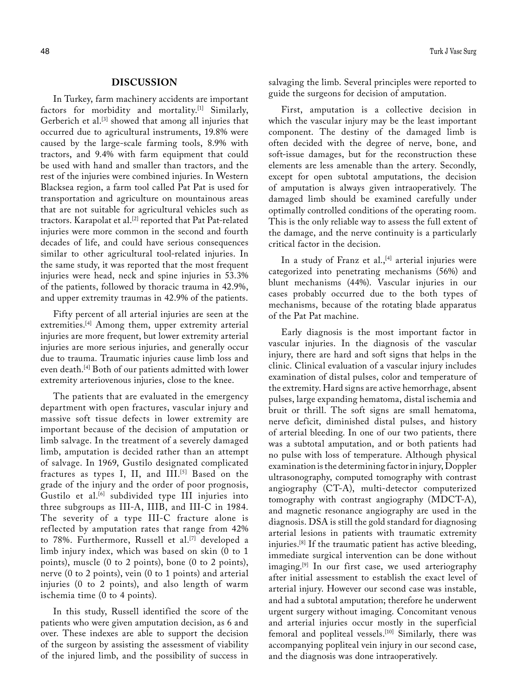### **DISCUSSION**

In Turkey, farm machinery accidents are important factors for morbidity and mortality.<sup>[1]</sup> Similarly, Gerberich et al.[3] showed that among all injuries that occurred due to agricultural instruments, 19.8% were caused by the large-scale farming tools, 8.9% with tractors, and 9.4% with farm equipment that could be used with hand and smaller than tractors, and the rest of the injuries were combined injuries. In Western Blacksea region, a farm tool called Pat Pat is used for transportation and agriculture on mountainous areas that are not suitable for agricultural vehicles such as tractors. Karapolat et al.<sup>[2]</sup> reported that Pat Pat-related injuries were more common in the second and fourth decades of life, and could have serious consequences similar to other agricultural tool-related injuries. In the same study, it was reported that the most frequent injuries were head, neck and spine injuries in 53.3% of the patients, followed by thoracic trauma in 42.9%, and upper extremity traumas in 42.9% of the patients.

Fifty percent of all arterial injuries are seen at the extremities.<sup>[4]</sup> Among them, upper extremity arterial injuries are more frequent, but lower extremity arterial injuries are more serious injuries, and generally occur due to trauma. Traumatic injuries cause limb loss and even death.[4] Both of our patients admitted with lower extremity arteriovenous injuries, close to the knee.

The patients that are evaluated in the emergency department with open fractures, vascular injury and massive soft tissue defects in lower extremity are important because of the decision of amputation or limb salvage. In the treatment of a severely damaged limb, amputation is decided rather than an attempt of salvage. In 1969, Gustilo designated complicated fractures as types I, II, and  $III$ .<sup>[5]</sup> Based on the grade of the injury and the order of poor prognosis, Gustilo et al.<sup>[6]</sup> subdivided type III injuries into three subgroups as III-A, IIIB, and III-C in 1984. The severity of a type III-C fracture alone is reflected by amputation rates that range from 42% to 78%. Furthermore, Russell et al.<sup>[7]</sup> developed a limb injury index, which was based on skin (0 to 1 points), muscle (0 to 2 points), bone (0 to 2 points), nerve (0 to 2 points), vein (0 to 1 points) and arterial injuries (0 to 2 points), and also length of warm ischemia time (0 to 4 points).

In this study, Russell identified the score of the patients who were given amputation decision, as 6 and over. These indexes are able to support the decision of the surgeon by assisting the assessment of viability of the injured limb, and the possibility of success in salvaging the limb. Several principles were reported to guide the surgeons for decision of amputation.

First, amputation is a collective decision in which the vascular injury may be the least important component. The destiny of the damaged limb is often decided with the degree of nerve, bone, and soft-issue damages, but for the reconstruction these elements are less amenable than the artery. Secondly, except for open subtotal amputations, the decision of amputation is always given intraoperatively. The damaged limb should be examined carefully under optimally controlled conditions of the operating room. This is the only reliable way to assess the full extent of the damage, and the nerve continuity is a particularly critical factor in the decision.

In a study of Franz et al.,  $[4]$  arterial injuries were categorized into penetrating mechanisms (56%) and blunt mechanisms (44%). Vascular injuries in our cases probably occurred due to the both types of mechanisms, because of the rotating blade apparatus of the Pat Pat machine.

Early diagnosis is the most important factor in vascular injuries. In the diagnosis of the vascular injury, there are hard and soft signs that helps in the clinic. Clinical evaluation of a vascular injury includes examination of distal pulses, color and temperature of the extremity. Hard signs are active hemorrhage, absent pulses, large expanding hematoma, distal ischemia and bruit or thrill. The soft signs are small hematoma, nerve deficit, diminished distal pulses, and history of arterial bleeding. In one of our two patients, there was a subtotal amputation, and or both patients had no pulse with loss of temperature. Although physical examination is the determining factor in injury, Doppler ultrasonography, computed tomography with contrast angiography (CT-A), multi-detector computerized tomography with contrast angiography (MDCT-A), and magnetic resonance angiography are used in the diagnosis. DSA is still the gold standard for diagnosing arterial lesions in patients with traumatic extremity injuries.[8] If the traumatic patient has active bleeding, immediate surgical intervention can be done without imaging.<sup>[9]</sup> In our first case, we used arteriography after initial assessment to establish the exact level of arterial injury. However our second case was instable, and had a subtotal amputation; therefore he underwent urgent surgery without imaging. Concomitant venous and arterial injuries occur mostly in the superficial femoral and popliteal vessels.[10] Similarly, there was accompanying popliteal vein injury in our second case, and the diagnosis was done intraoperatively.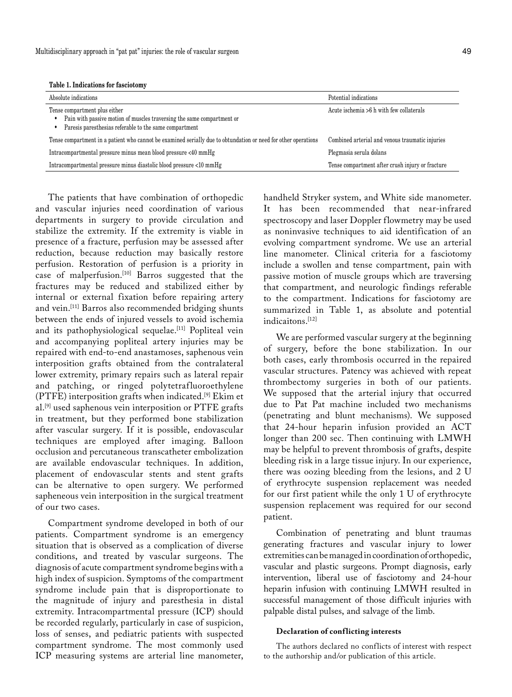**Table 1. Indications for fasciotomy**

| Absolute indications                                                                                                                                              | Potential indications                            |
|-------------------------------------------------------------------------------------------------------------------------------------------------------------------|--------------------------------------------------|
| Tense compartment plus either<br>Pain with passive motion of muscles traversing the same compartment or<br>Paresis paresthesias referable to the same compartment | Acute ischemia >6 h with few collaterals         |
| Tense compartment in a patient who cannot be examined serially due to obtundation or need for other operations                                                    | Combined arterial and venous traumatic injuries  |
| Intracompartmental pressure minus mean blood pressure <40 mmHg                                                                                                    | Plegmasia serula dolans                          |
| Intracompartmental pressure minus diastolic blood pressure <10 mmHg                                                                                               | Tense compartment after crush injury or fracture |

The patients that have combination of orthopedic and vascular injuries need coordination of various departments in surgery to provide circulation and stabilize the extremity. If the extremity is viable in presence of a fracture, perfusion may be assessed after reduction, because reduction may basically restore perfusion. Restoration of perfusion is a priority in case of malperfusion.[10] Barros suggested that the fractures may be reduced and stabilized either by internal or external fixation before repairing artery and vein.[11] Barros also recommended bridging shunts between the ends of injured vessels to avoid ischemia and its pathophysiological sequelae.<sup>[11]</sup> Popliteal vein and accompanying popliteal artery injuries may be repaired with end-to-end anastamoses, saphenous vein interposition grafts obtained from the contralateral lower extremity, primary repairs such as lateral repair and patching, or ringed polytetrafluoroethylene (PTFE) interposition grafts when indicated.[9] Ekim et al.[9] used saphenous vein interposition or PTFE grafts in treatment, but they performed bone stabilization after vascular surgery. If it is possible, endovascular techniques are employed after imaging. Balloon occlusion and percutaneous transcatheter embolization are available endovascular techniques. In addition, placement of endovascular stents and stent grafts can be alternative to open surgery. We performed sapheneous vein interposition in the surgical treatment of our two cases.

Compartment syndrome developed in both of our patients. Compartment syndrome is an emergency situation that is observed as a complication of diverse conditions, and treated by vascular surgeons. The diagnosis of acute compartment syndrome begins with a high index of suspicion. Symptoms of the compartment syndrome include pain that is disproportionate to the magnitude of injury and paresthesia in distal extremity. Intracompartmental pressure (ICP) should be recorded regularly, particularly in case of suspicion, loss of senses, and pediatric patients with suspected compartment syndrome. The most commonly used ICP measuring systems are arterial line manometer, handheld Stryker system, and White side manometer. It has been recommended that near-infrared spectroscopy and laser Doppler flowmetry may be used as noninvasive techniques to aid identification of an evolving compartment syndrome. We use an arterial line manometer. Clinical criteria for a fasciotomy include a swollen and tense compartment, pain with passive motion of muscle groups which are traversing that compartment, and neurologic findings referable to the compartment. Indications for fasciotomy are summarized in Table 1, as absolute and potential indicaitons.[12]

We are performed vascular surgery at the beginning of surgery, before the bone stabilization. In our both cases, early thrombosis occurred in the repaired vascular structures. Patency was achieved with repeat thrombectomy surgeries in both of our patients. We supposed that the arterial injury that occurred due to Pat Pat machine included two mechanisms (penetrating and blunt mechanisms). We supposed that 24-hour heparin infusion provided an ACT longer than 200 sec. Then continuing with LMWH may be helpful to prevent thrombosis of grafts, despite bleeding risk in a large tissue injury. In our experience, there was oozing bleeding from the lesions, and 2 U of erythrocyte suspension replacement was needed for our first patient while the only 1 U of erythrocyte suspension replacement was required for our second patient.

Combination of penetrating and blunt traumas generating fractures and vascular injury to lower extremities can be managed in coordination of orthopedic, vascular and plastic surgeons. Prompt diagnosis, early intervention, liberal use of fasciotomy and 24-hour heparin infusion with continuing LMWH resulted in successful management of those difficult injuries with palpable distal pulses, and salvage of the limb.

#### **Declaration of conflicting interests**

The authors declared no conflicts of interest with respect to the authorship and/or publication of this article.